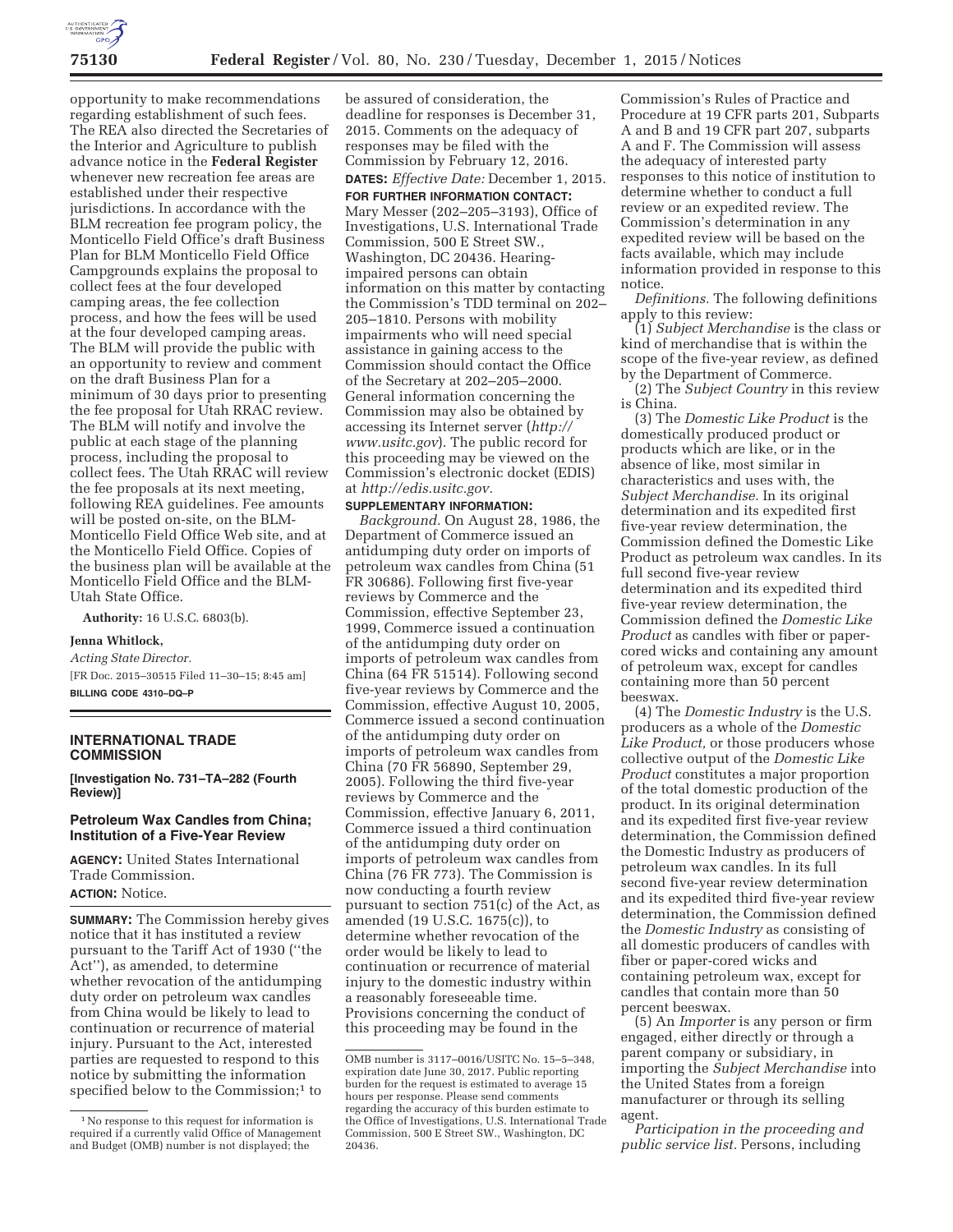

opportunity to make recommendations regarding establishment of such fees. The REA also directed the Secretaries of the Interior and Agriculture to publish advance notice in the **Federal Register**  whenever new recreation fee areas are established under their respective jurisdictions. In accordance with the BLM recreation fee program policy, the Monticello Field Office's draft Business Plan for BLM Monticello Field Office Campgrounds explains the proposal to collect fees at the four developed camping areas, the fee collection process, and how the fees will be used at the four developed camping areas. The BLM will provide the public with an opportunity to review and comment on the draft Business Plan for a minimum of 30 days prior to presenting the fee proposal for Utah RRAC review. The BLM will notify and involve the public at each stage of the planning process, including the proposal to collect fees. The Utah RRAC will review the fee proposals at its next meeting, following REA guidelines. Fee amounts will be posted on-site, on the BLM-Monticello Field Office Web site, and at the Monticello Field Office. Copies of the business plan will be available at the Monticello Field Office and the BLM-Utah State Office.

**Authority:** 16 U.S.C. 6803(b).

### **Jenna Whitlock,**

*Acting State Director.*  [FR Doc. 2015–30515 Filed 11–30–15; 8:45 am] **BILLING CODE 4310–DQ–P** 

#### **INTERNATIONAL TRADE COMMISSION**

**[Investigation No. 731–TA–282 (Fourth Review)]** 

## **Petroleum Wax Candles from China; Institution of a Five-Year Review**

**AGENCY:** United States International Trade Commission.

**ACTION:** Notice.

**SUMMARY:** The Commission hereby gives notice that it has instituted a review pursuant to the Tariff Act of 1930 (''the Act''), as amended, to determine whether revocation of the antidumping duty order on petroleum wax candles from China would be likely to lead to continuation or recurrence of material injury. Pursuant to the Act, interested parties are requested to respond to this notice by submitting the information specified below to the Commission;<sup>1</sup> to

be assured of consideration, the deadline for responses is December 31, 2015. Comments on the adequacy of responses may be filed with the Commission by February 12, 2016. **DATES:** *Effective Date:* December 1, 2015.

# **FOR FURTHER INFORMATION CONTACT:**

Mary Messer (202–205–3193), Office of Investigations, U.S. International Trade Commission, 500 E Street SW., Washington, DC 20436. Hearingimpaired persons can obtain information on this matter by contacting the Commission's TDD terminal on 202– 205–1810. Persons with mobility impairments who will need special assistance in gaining access to the Commission should contact the Office of the Secretary at 202–205–2000. General information concerning the Commission may also be obtained by accessing its Internet server (*http:// www.usitc.gov*). The public record for this proceeding may be viewed on the Commission's electronic docket (EDIS) at *http://edis.usitc.gov.* 

### **SUPPLEMENTARY INFORMATION:**

*Background.* On August 28, 1986, the Department of Commerce issued an antidumping duty order on imports of petroleum wax candles from China (51 FR 30686). Following first five-year reviews by Commerce and the Commission, effective September 23, 1999, Commerce issued a continuation of the antidumping duty order on imports of petroleum wax candles from China (64 FR 51514). Following second five-year reviews by Commerce and the Commission, effective August 10, 2005, Commerce issued a second continuation of the antidumping duty order on imports of petroleum wax candles from China (70 FR 56890, September 29, 2005). Following the third five-year reviews by Commerce and the Commission, effective January 6, 2011, Commerce issued a third continuation of the antidumping duty order on imports of petroleum wax candles from China (76 FR 773). The Commission is now conducting a fourth review pursuant to section 751(c) of the Act, as amended (19 U.S.C. 1675(c)), to determine whether revocation of the order would be likely to lead to continuation or recurrence of material injury to the domestic industry within a reasonably foreseeable time. Provisions concerning the conduct of this proceeding may be found in the

Commission's Rules of Practice and Procedure at 19 CFR parts 201, Subparts A and B and 19 CFR part 207, subparts A and F. The Commission will assess the adequacy of interested party responses to this notice of institution to determine whether to conduct a full review or an expedited review. The Commission's determination in any expedited review will be based on the facts available, which may include information provided in response to this notice.

*Definitions.* The following definitions apply to this review:

(1) *Subject Merchandise* is the class or kind of merchandise that is within the scope of the five-year review, as defined by the Department of Commerce.

(2) The *Subject Country* in this review is China.

(3) The *Domestic Like Product* is the domestically produced product or products which are like, or in the absence of like, most similar in characteristics and uses with, the *Subject Merchandise.* In its original determination and its expedited first five-year review determination, the Commission defined the Domestic Like Product as petroleum wax candles. In its full second five-year review determination and its expedited third five-year review determination, the Commission defined the *Domestic Like Product* as candles with fiber or papercored wicks and containing any amount of petroleum wax, except for candles containing more than 50 percent beeswax.

(4) The *Domestic Industry* is the U.S. producers as a whole of the *Domestic Like Product,* or those producers whose collective output of the *Domestic Like Product* constitutes a major proportion of the total domestic production of the product. In its original determination and its expedited first five-year review determination, the Commission defined the Domestic Industry as producers of petroleum wax candles. In its full second five-year review determination and its expedited third five-year review determination, the Commission defined the *Domestic Industry* as consisting of all domestic producers of candles with fiber or paper-cored wicks and containing petroleum wax, except for candles that contain more than 50 percent beeswax.

(5) An *Importer* is any person or firm engaged, either directly or through a parent company or subsidiary, in importing the *Subject Merchandise* into the United States from a foreign manufacturer or through its selling agent.

*Participation in the proceeding and public service list.* Persons, including

<sup>1</sup>No response to this request for information is required if a currently valid Office of Management and Budget (OMB) number is not displayed; the

OMB number is 3117–0016/USITC No. 15–5–348, expiration date June 30, 2017. Public reporting burden for the request is estimated to average 15 hours per response. Please send comments regarding the accuracy of this burden estimate to the Office of Investigations, U.S. International Trade Commission, 500 E Street SW., Washington, DC 20436.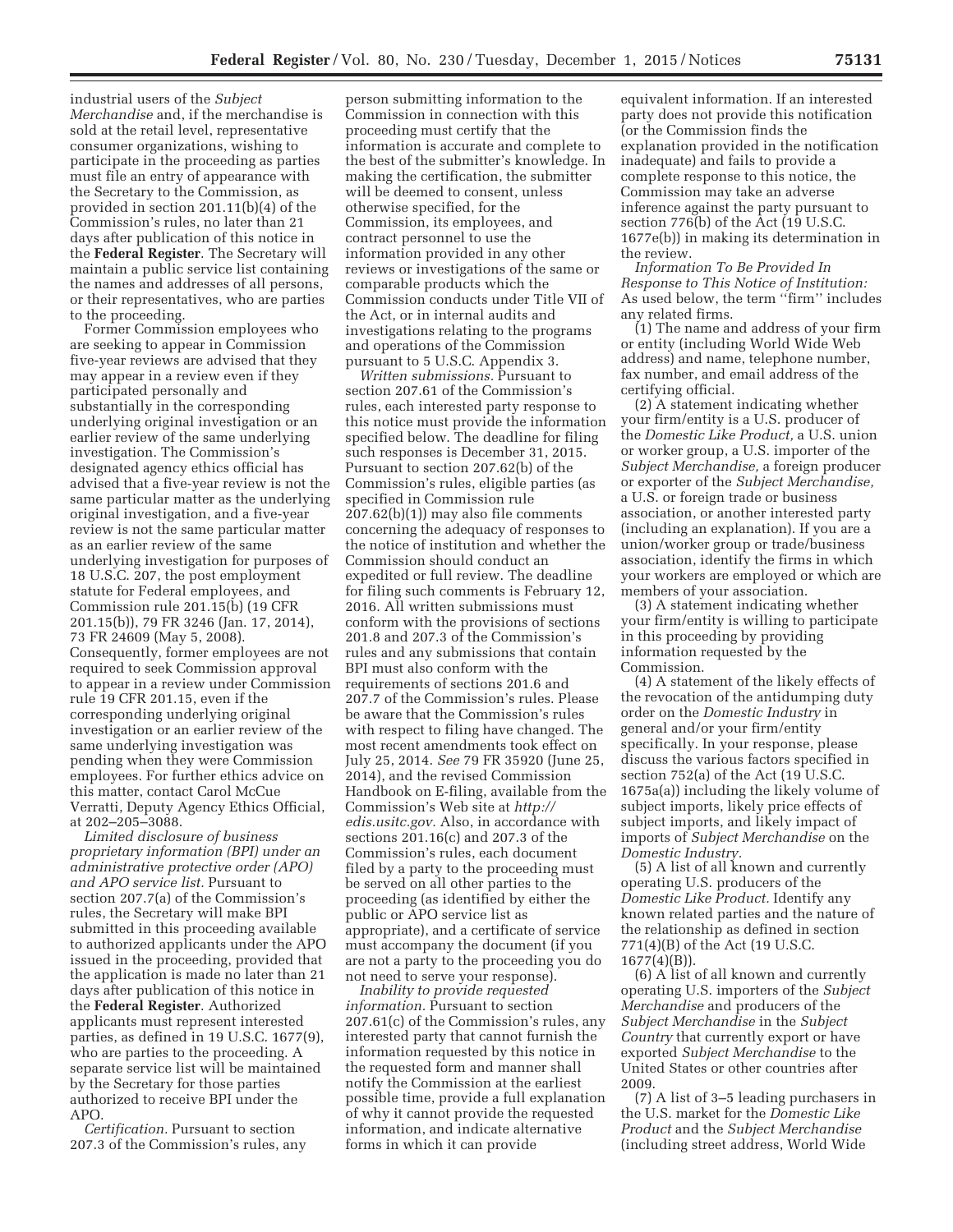industrial users of the *Subject Merchandise* and, if the merchandise is sold at the retail level, representative consumer organizations, wishing to participate in the proceeding as parties must file an entry of appearance with the Secretary to the Commission, as provided in section 201.11(b)(4) of the Commission's rules, no later than 21 days after publication of this notice in the **Federal Register**. The Secretary will maintain a public service list containing the names and addresses of all persons, or their representatives, who are parties to the proceeding.

Former Commission employees who are seeking to appear in Commission five-year reviews are advised that they may appear in a review even if they participated personally and substantially in the corresponding underlying original investigation or an earlier review of the same underlying investigation. The Commission's designated agency ethics official has advised that a five-year review is not the same particular matter as the underlying original investigation, and a five-year review is not the same particular matter as an earlier review of the same underlying investigation for purposes of 18 U.S.C. 207, the post employment statute for Federal employees, and Commission rule 201.15(b) (19 CFR 201.15(b)), 79 FR 3246 (Jan. 17, 2014), 73 FR 24609 (May 5, 2008). Consequently, former employees are not required to seek Commission approval to appear in a review under Commission rule 19 CFR 201.15, even if the corresponding underlying original investigation or an earlier review of the same underlying investigation was pending when they were Commission employees. For further ethics advice on this matter, contact Carol McCue Verratti, Deputy Agency Ethics Official, at 202–205–3088.

*Limited disclosure of business proprietary information (BPI) under an administrative protective order (APO) and APO service list.* Pursuant to section 207.7(a) of the Commission's rules, the Secretary will make BPI submitted in this proceeding available to authorized applicants under the APO issued in the proceeding, provided that the application is made no later than 21 days after publication of this notice in the **Federal Register**. Authorized applicants must represent interested parties, as defined in 19 U.S.C. 1677(9), who are parties to the proceeding. A separate service list will be maintained by the Secretary for those parties authorized to receive BPI under the APO.

*Certification.* Pursuant to section 207.3 of the Commission's rules, any

person submitting information to the Commission in connection with this proceeding must certify that the information is accurate and complete to the best of the submitter's knowledge. In making the certification, the submitter will be deemed to consent, unless otherwise specified, for the Commission, its employees, and contract personnel to use the information provided in any other reviews or investigations of the same or comparable products which the Commission conducts under Title VII of the Act, or in internal audits and investigations relating to the programs and operations of the Commission pursuant to 5 U.S.C. Appendix 3.

*Written submissions.* Pursuant to section 207.61 of the Commission's rules, each interested party response to this notice must provide the information specified below. The deadline for filing such responses is December 31, 2015. Pursuant to section 207.62(b) of the Commission's rules, eligible parties (as specified in Commission rule 207.62(b)(1)) may also file comments concerning the adequacy of responses to the notice of institution and whether the Commission should conduct an expedited or full review. The deadline for filing such comments is February 12, 2016. All written submissions must conform with the provisions of sections 201.8 and 207.3 of the Commission's rules and any submissions that contain BPI must also conform with the requirements of sections 201.6 and 207.7 of the Commission's rules. Please be aware that the Commission's rules with respect to filing have changed. The most recent amendments took effect on July 25, 2014. *See* 79 FR 35920 (June 25, 2014), and the revised Commission Handbook on E-filing, available from the Commission's Web site at *http:// edis.usitc.gov.* Also, in accordance with sections 201.16(c) and 207.3 of the Commission's rules, each document filed by a party to the proceeding must be served on all other parties to the proceeding (as identified by either the public or APO service list as appropriate), and a certificate of service must accompany the document (if you are not a party to the proceeding you do not need to serve your response).

*Inability to provide requested information.* Pursuant to section 207.61(c) of the Commission's rules, any interested party that cannot furnish the information requested by this notice in the requested form and manner shall notify the Commission at the earliest possible time, provide a full explanation of why it cannot provide the requested information, and indicate alternative forms in which it can provide

equivalent information. If an interested party does not provide this notification (or the Commission finds the explanation provided in the notification inadequate) and fails to provide a complete response to this notice, the Commission may take an adverse inference against the party pursuant to section 776(b) of the Act (19 U.S.C. 1677e(b)) in making its determination in the review.

*Information To Be Provided In Response to This Notice of Institution:*  As used below, the term ''firm'' includes any related firms.

(1) The name and address of your firm or entity (including World Wide Web address) and name, telephone number, fax number, and email address of the certifying official.

(2) A statement indicating whether your firm/entity is a U.S. producer of the *Domestic Like Product,* a U.S. union or worker group, a U.S. importer of the *Subject Merchandise,* a foreign producer or exporter of the *Subject Merchandise,*  a U.S. or foreign trade or business association, or another interested party (including an explanation). If you are a union/worker group or trade/business association, identify the firms in which your workers are employed or which are members of your association.

(3) A statement indicating whether your firm/entity is willing to participate in this proceeding by providing information requested by the Commission.

(4) A statement of the likely effects of the revocation of the antidumping duty order on the *Domestic Industry* in general and/or your firm/entity specifically. In your response, please discuss the various factors specified in section 752(a) of the Act (19 U.S.C. 1675a(a)) including the likely volume of subject imports, likely price effects of subject imports, and likely impact of imports of *Subject Merchandise* on the *Domestic Industry.* 

(5) A list of all known and currently operating U.S. producers of the *Domestic Like Product.* Identify any known related parties and the nature of the relationship as defined in section 771(4)(B) of the Act (19 U.S.C.  $1677(4)(B)$ ).

(6) A list of all known and currently operating U.S. importers of the *Subject Merchandise* and producers of the *Subject Merchandise* in the *Subject Country* that currently export or have exported *Subject Merchandise* to the United States or other countries after 2009.

(7) A list of 3–5 leading purchasers in the U.S. market for the *Domestic Like Product* and the *Subject Merchandise*  (including street address, World Wide